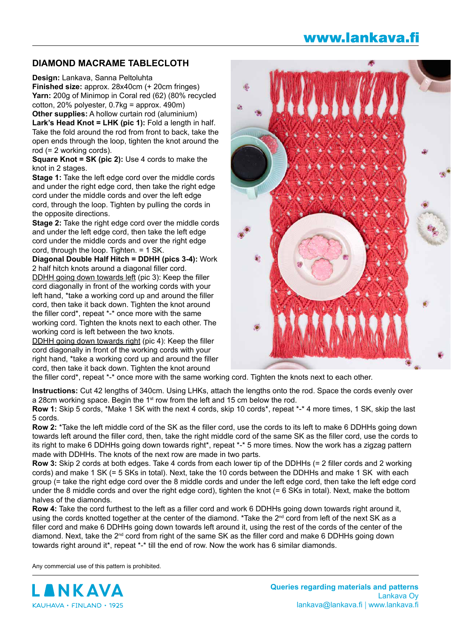## www.lankava.fi

## **DIAMOND MACRAME TABLECLOTH**

**Design:** Lankava, Sanna Peltoluhta

**Finished size:** approx. 28x40cm (+ 20cm fringes) **Yarn:** 200g of Minimop in Coral red (62) (80% recycled cotton, 20% polyester, 0.7kg = approx. 490m) **Other supplies:** A hollow curtain rod (aluminium)

**Lark's Head Knot = LHK (pic 1):** Fold a length in half. Take the fold around the rod from front to back, take the open ends through the loop, tighten the knot around the rod (= 2 working cords).

**Square Knot = SK (pic 2):** Use 4 cords to make the knot in 2 stages.

**Stage 1:** Take the left edge cord over the middle cords and under the right edge cord, then take the right edge cord under the middle cords and over the left edge cord, through the loop. Tighten by pulling the cords in the opposite directions.

**Stage 2:** Take the right edge cord over the middle cords and under the left edge cord, then take the left edge cord under the middle cords and over the right edge cord, through the loop. Tighten. = 1 SK.

**Diagonal Double Half Hitch = DDHH (pics 3-4):** Work 2 half hitch knots around a diagonal filler cord.

DDHH going down towards left (pic 3): Keep the filler cord diagonally in front of the working cords with your left hand, \*take a working cord up and around the filler cord, then take it back down. Tighten the knot around the filler cord\*, repeat \*-\* once more with the same working cord. Tighten the knots next to each other. The working cord is left between the two knots.

DDHH going down towards right (pic 4): Keep the filler cord diagonally in front of the working cords with your right hand, \*take a working cord up and around the filler cord, then take it back down. Tighten the knot around



the filler cord\*, repeat \*-\* once more with the same working cord. Tighten the knots next to each other.

**Instructions:** Cut 42 lengths of 340cm. Using LHKs, attach the lengths onto the rod. Space the cords evenly over a 28cm working space. Begin the 1<sup>st</sup> row from the left and 15 cm below the rod.

**Row 1:** Skip 5 cords, \*Make 1 SK with the next 4 cords, skip 10 cords\*, repeat \*-\* 4 more times, 1 SK, skip the last 5 cords.

**Row 2:** \*Take the left middle cord of the SK as the filler cord, use the cords to its left to make 6 DDHHs going down towards left around the filler cord, then, take the right middle cord of the same SK as the filler cord, use the cords to its right to make 6 DDHHs going down towards right\*, repeat \*-\* 5 more times. Now the work has a zigzag pattern made with DDHHs. The knots of the next row are made in two parts.

**Row 3:** Skip 2 cords at both edges. Take 4 cords from each lower tip of the DDHHs (= 2 filler cords and 2 working cords) and make 1 SK (= 5 SKs in total). Next, take the 10 cords between the DDHHs and make 1 SK with each group (= take the right edge cord over the 8 middle cords and under the left edge cord, then take the left edge cord under the 8 middle cords and over the right edge cord), tighten the knot (= 6 SKs in total). Next, make the bottom halves of the diamonds.

**Row 4:** Take the cord furthest to the left as a filler cord and work 6 DDHHs going down towards right around it, using the cords knotted together at the center of the diamond. \*Take the  $2^{nd}$  cord from left of the next SK as a filler cord and make 6 DDHHs going down towards left around it, using the rest of the cords of the center of the diamond. Next, take the 2<sup>nd</sup> cord from right of the same SK as the filler cord and make 6 DDHHs going down towards right around it\*, repeat \*-\* till the end of row. Now the work has 6 similar diamonds.

Any commercial use of this pattern is prohibited.